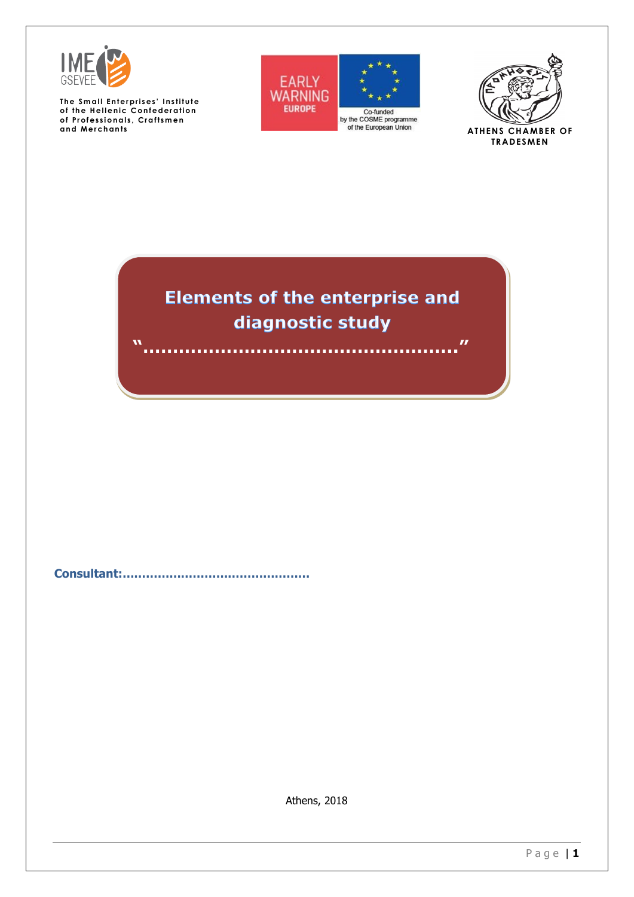







**Elements of the enterprise and** diagnostic study

**"…………………………………………….."**

**Consultant:…………………………………………**

Athens, 2018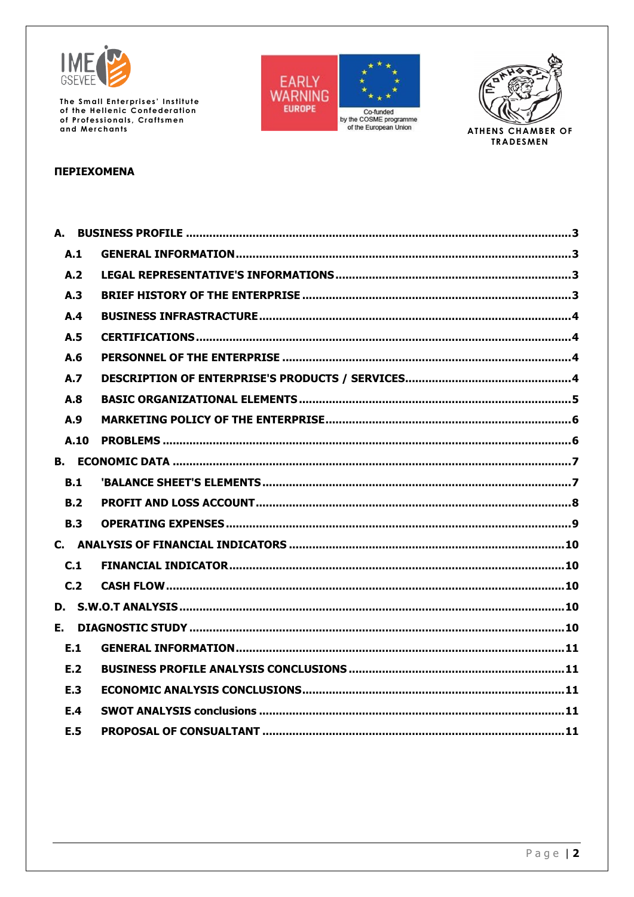

The Small Enterprises' Institute<br>of the Hellenic Confederation<br>of Professionals, Craftsmen and Merchants





# **ΠΕΡΙΕΧΟΜΕΝΑ**

| A.1  |  |
|------|--|
| A.2  |  |
| A.3  |  |
| A.4  |  |
| A.5  |  |
| A.6  |  |
| A.7  |  |
| A.8  |  |
| A.9  |  |
| A.10 |  |
|      |  |
| B.1  |  |
| B.2  |  |
| B.3  |  |
|      |  |
| C.1  |  |
| C.2  |  |
|      |  |
|      |  |
| E.1  |  |
| E.2  |  |
| E.3  |  |
| E.4  |  |
| E.5  |  |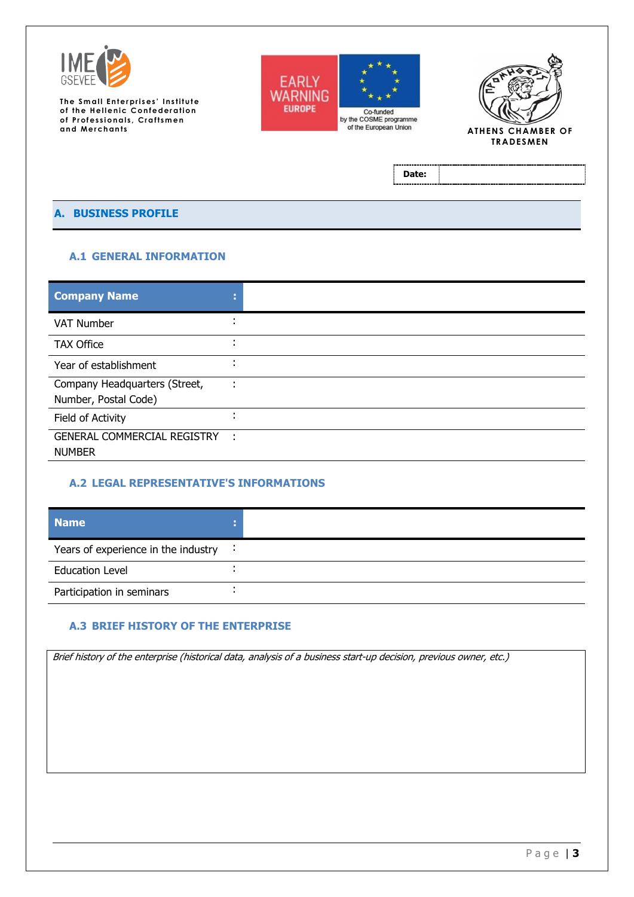





**Date:**

### <span id="page-2-0"></span>**A. BUSINESS PROFILE**

## <span id="page-2-1"></span>**A.1 GENERAL INFORMATION**

| <b>Company Name</b>                                   |              |
|-------------------------------------------------------|--------------|
| <b>VAT Number</b>                                     |              |
| <b>TAX Office</b>                                     |              |
| Year of establishment                                 |              |
| Company Headquarters (Street,<br>Number, Postal Code) |              |
| Field of Activity                                     |              |
| <b>GENERAL COMMERCIAL REGISTRY</b><br><b>NUMBER</b>   | $\mathbf{L}$ |

# <span id="page-2-2"></span>**A.2 LEGAL REPRESENTATIVE'S INFORMATIONS**

| <b>Name</b>                         |     |
|-------------------------------------|-----|
| Years of experience in the industry | - 1 |
| <b>Education Level</b>              |     |
| Participation in seminars           |     |

## <span id="page-2-3"></span>**A.3 BRIEF HISTORY OF THE ENTERPRISE**

Brief history of the enterprise (historical data, analysis of a business start-up decision, previous owner, etc.)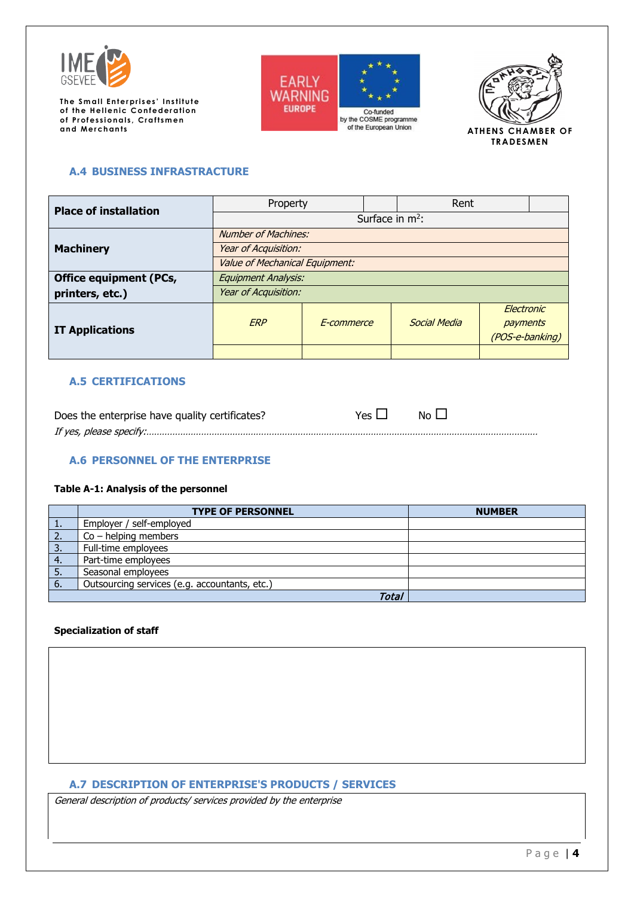





## <span id="page-3-0"></span>**A.4 BUSINESS INFRASTRACTURE**

| <b>Place of installation</b>  | Rent<br>Property               |            |  |              |                 |  |
|-------------------------------|--------------------------------|------------|--|--------------|-----------------|--|
|                               | Surface in $m^2$ :             |            |  |              |                 |  |
|                               | <b>Number of Machines:</b>     |            |  |              |                 |  |
| <b>Machinery</b>              | Year of Acquisition:           |            |  |              |                 |  |
|                               | Value of Mechanical Equipment: |            |  |              |                 |  |
| <b>Office equipment (PCs,</b> | <b>Equipment Analysis:</b>     |            |  |              |                 |  |
| printers, etc.)               | Year of Acquisition:           |            |  |              |                 |  |
|                               |                                |            |  |              | Electronic      |  |
| <b>IT Applications</b>        | <b>ERP</b>                     | E-commerce |  | Social Media | payments        |  |
|                               |                                |            |  |              | (POS-e-banking) |  |
|                               |                                |            |  |              |                 |  |

## <span id="page-3-1"></span>**A.5 CERTIFICATIONS**

| Does the enterprise have quality certificates? | $Yes \Box \qquad No \Box$ |  |
|------------------------------------------------|---------------------------|--|
|                                                |                           |  |

## <span id="page-3-2"></span>**A.6 PERSONNEL OF THE ENTERPRISE**

#### **Table Α-1: Analysis of the personnel**

|                  | <b>TYPE OF PERSONNEL</b>                      | <b>NUMBER</b> |
|------------------|-----------------------------------------------|---------------|
| л.               | Employer / self-employed                      |               |
| 2.               | $Co - helping$ members                        |               |
| 3.               | Full-time employees                           |               |
| $\overline{4}$ . | Part-time employees                           |               |
| -5.              | Seasonal employees                            |               |
| -6.              | Outsourcing services (e.g. accountants, etc.) |               |
|                  | Tota                                          |               |

#### **Specialization of staff**

### <span id="page-3-3"></span>**A.7 DESCRIPTION OF ENTERPRISE'S PRODUCTS / SERVICES**

General description of products/ services provided by the enterprise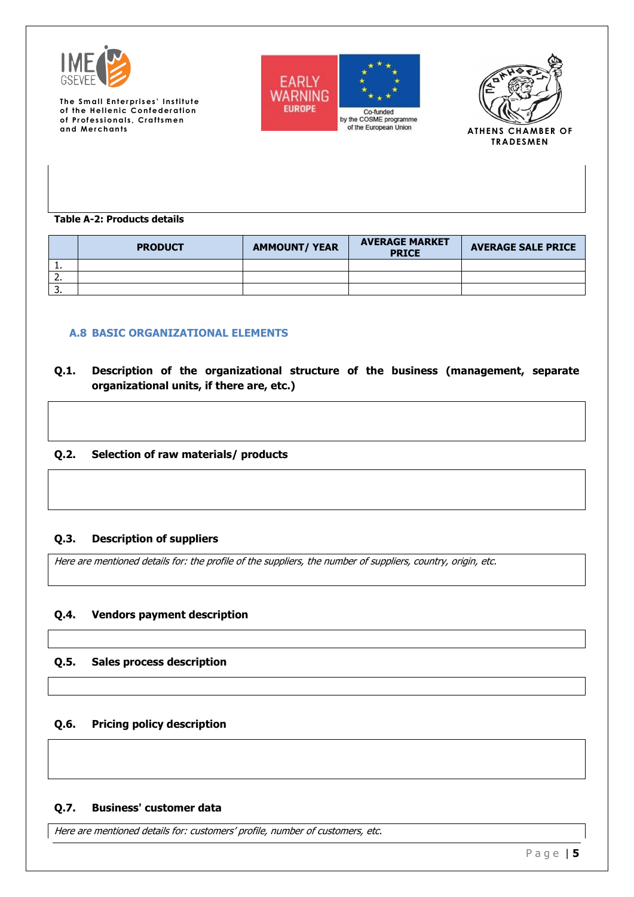





**Table Α-2: Products details**

|          | <b>PRODUCT</b> | <b>AMMOUNT/ YEAR</b> | <b>AVERAGE MARKET</b><br><b>PRICE</b> | <b>AVERAGE SALE PRICE</b> |
|----------|----------------|----------------------|---------------------------------------|---------------------------|
| . .      |                |                      |                                       |                           |
|          |                |                      |                                       |                           |
| <u>.</u> |                |                      |                                       |                           |

### <span id="page-4-0"></span>**A.8 BASIC ORGANIZATIONAL ELEMENTS**

**Q.1. Description of the organizational structure of the business (management, separate organizational units, if there are, etc.)**

### **Q.2. Selection of raw materials/ products**

### **Q.3. Description of suppliers**

Here are mentioned details for: the profile of the suppliers, the number of suppliers, country, origin, etc.

### **Q.4. Vendors payment description**

## **Q.5. Sales process description**

### **Q.6. Pricing policy description**

### **Q.7. Business' customer data**

Here are mentioned details for: customers' profile, number of customers, etc.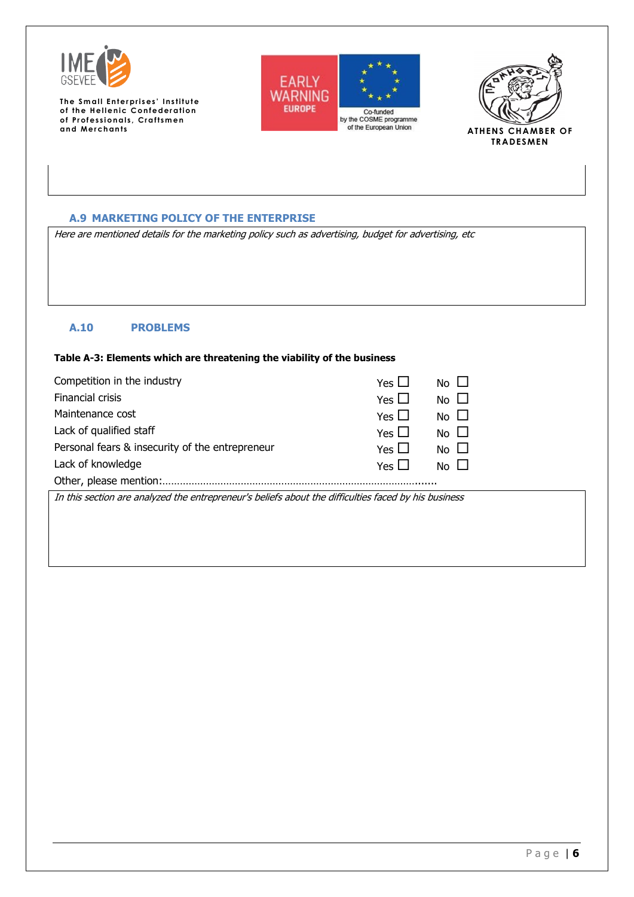





### <span id="page-5-0"></span>**A.9 MARKETING POLICY OF THE ENTERPRISE**

Here are mentioned details for the marketing policy such as advertising, budget for advertising, etc

### <span id="page-5-1"></span>**A.10 PROBLEMS**

#### **Table Α-3: Elements which are threatening the viability of the business**

| Competition in the industry                     | Yes L | No L        |  |  |  |  |
|-------------------------------------------------|-------|-------------|--|--|--|--|
| Financial crisis                                | Yes L | No.         |  |  |  |  |
| Maintenance cost                                | Yes L | $No$ $\Box$ |  |  |  |  |
| Lack of qualified staff                         | Yes L | No $\Box$   |  |  |  |  |
| Personal fears & insecurity of the entrepreneur | Yes L | No L        |  |  |  |  |
| Lack of knowledge                               | Yes L | No L        |  |  |  |  |
| Other, please mention:                          |       |             |  |  |  |  |

In this section are analyzed the entrepreneur's beliefs about the difficulties faced by his business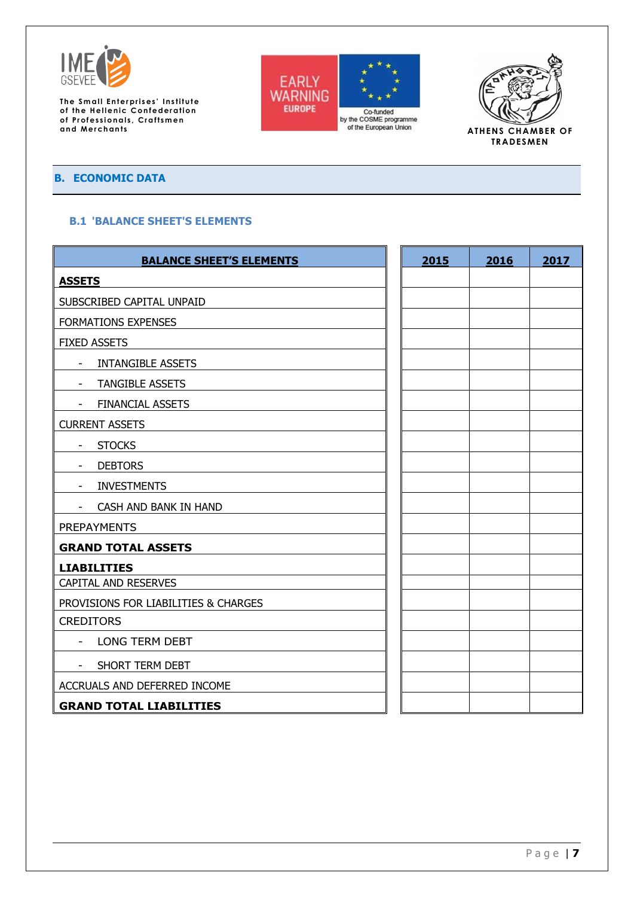

**The Small Enterprises' Institute of the Hellenic Confederation of Professionals, Craftsmen** of the Hellenic Confederation<br>
and Merchants Craftsmen<br>
and Merchants (SHAMBER OF The European Union<br>
and Merchants (SHAMBER OF The European Union)<br>
ATHENS CHAMBER OF





## <span id="page-6-0"></span>**B. ECONOMIC DATA**

## <span id="page-6-1"></span>**B.1 'BALANCE SHEET'S ELEMENTS**

| <b>BALANCE SHEET'S ELEMENTS</b>            | 2015 | 2016 | 2017 |
|--------------------------------------------|------|------|------|
| <b>ASSETS</b>                              |      |      |      |
| SUBSCRIBED CAPITAL UNPAID                  |      |      |      |
| <b>FORMATIONS EXPENSES</b>                 |      |      |      |
| <b>FIXED ASSETS</b>                        |      |      |      |
| <b>INTANGIBLE ASSETS</b><br>$\blacksquare$ |      |      |      |
| TANGIBLE ASSETS                            |      |      |      |
| <b>FINANCIAL ASSETS</b>                    |      |      |      |
| <b>CURRENT ASSETS</b>                      |      |      |      |
| <b>STOCKS</b>                              |      |      |      |
| <b>DEBTORS</b>                             |      |      |      |
| <b>INVESTMENTS</b>                         |      |      |      |
| CASH AND BANK IN HAND                      |      |      |      |
| <b>PREPAYMENTS</b>                         |      |      |      |
| <b>GRAND TOTAL ASSETS</b>                  |      |      |      |
| <b>LIABILITIES</b>                         |      |      |      |
| <b>CAPITAL AND RESERVES</b>                |      |      |      |
| PROVISIONS FOR LIABILITIES & CHARGES       |      |      |      |
| <b>CREDITORS</b>                           |      |      |      |
| <b>LONG TERM DEBT</b>                      |      |      |      |
| <b>SHORT TERM DEBT</b>                     |      |      |      |
| ACCRUALS AND DEFERRED INCOME               |      |      |      |
| <b>GRAND TOTAL LIABILITIES</b>             |      |      |      |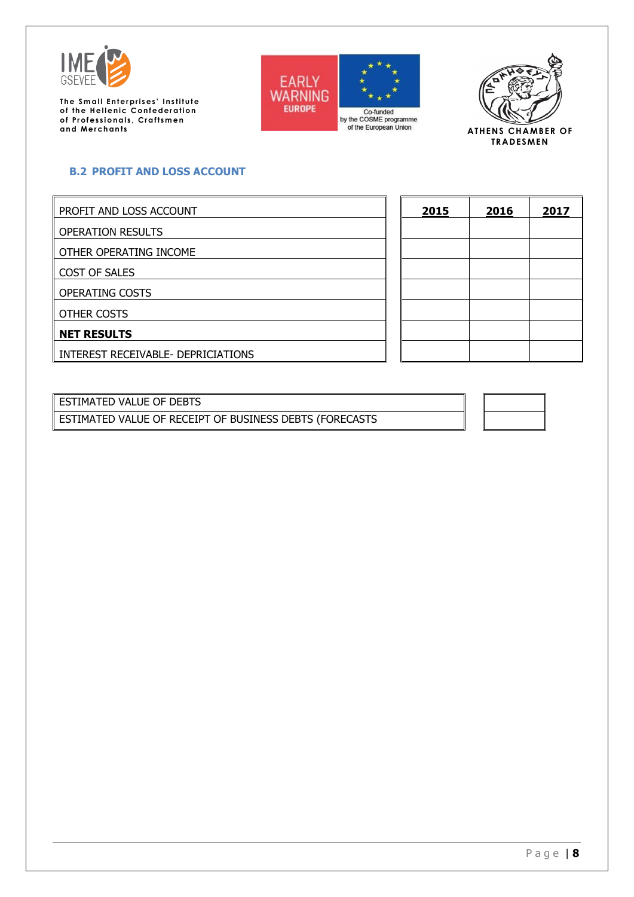





# <span id="page-7-0"></span>**B.2 PROFIT AND LOSS ACCOUNT**

| PROFIT AND LOSS ACCOUNT            | <u>2015</u> | 2016 | <u>2017</u> |
|------------------------------------|-------------|------|-------------|
| <b>OPERATION RESULTS</b>           |             |      |             |
| OTHER OPERATING INCOME             |             |      |             |
| <b>COST OF SALES</b>               |             |      |             |
| <b>OPERATING COSTS</b>             |             |      |             |
| OTHER COSTS                        |             |      |             |
| <b>NET RESULTS</b>                 |             |      |             |
| INTEREST RECEIVABLE- DEPRICIATIONS |             |      |             |
|                                    |             |      |             |

ESTIMATED VALUE OF DEBTS ESTIMATED VALUE OF RECEIPT OF BUSINESS DEBTS (FORECASTS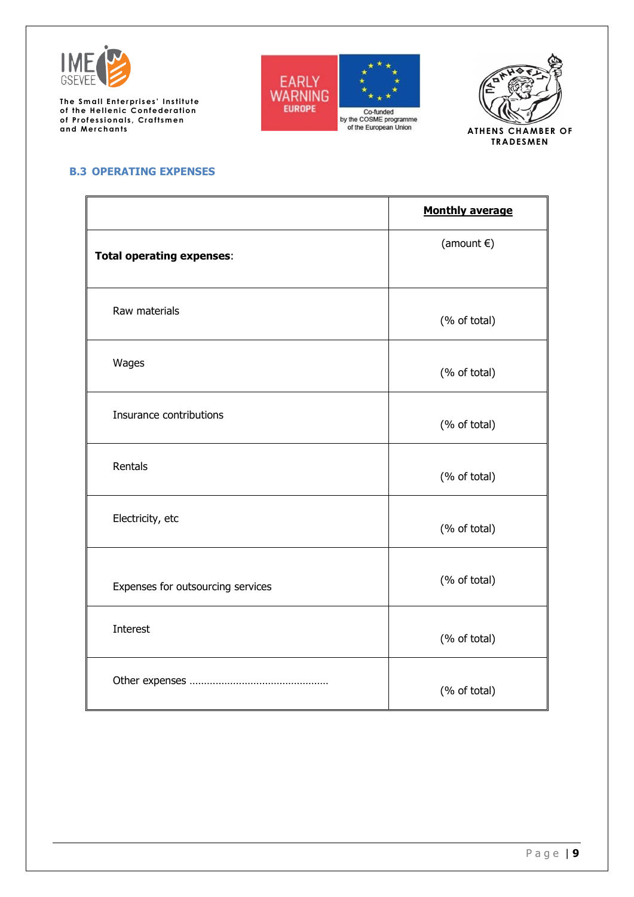





## <span id="page-8-0"></span>**B.3 OPERATING EXPENSES**

|                                   | <b>Monthly average</b> |
|-----------------------------------|------------------------|
| <b>Total operating expenses:</b>  | (amount $\epsilon$ )   |
| Raw materials                     | (% of total)           |
| Wages                             | (% of total)           |
| Insurance contributions           | (% of total)           |
| Rentals                           | (% of total)           |
| Electricity, etc                  | (% of total)           |
| Expenses for outsourcing services | (% of total)           |
| Interest                          | (% of total)           |
|                                   | (% of total)           |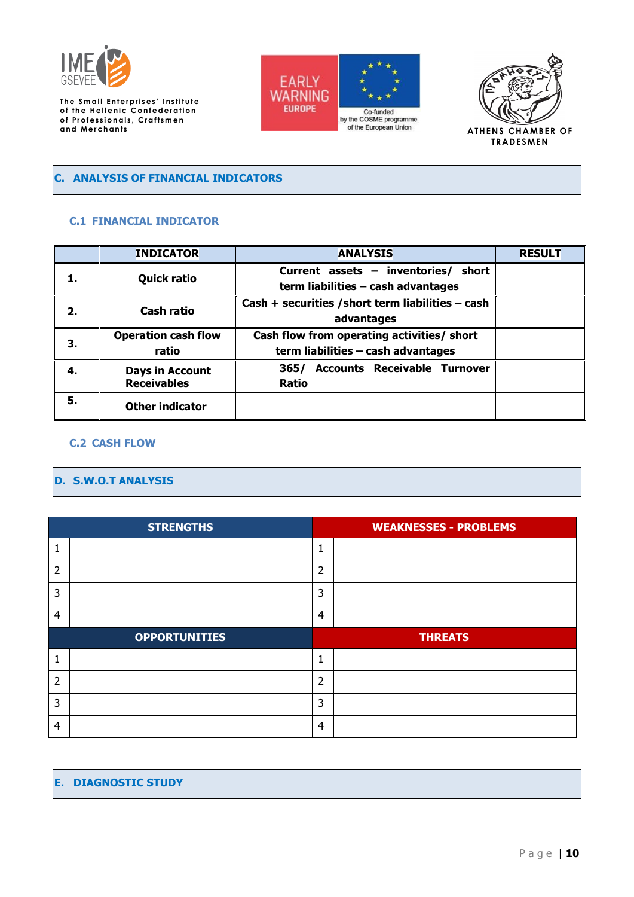





## <span id="page-9-0"></span>**C. ANALYSIS OF FINANCIAL INDICATORS**

## <span id="page-9-1"></span>**C.1 FINANCIAL INDICATOR**

|    | <b>INDICATOR</b>                             | <b>ANALYSIS</b>                                                                  | <b>RESULT</b> |
|----|----------------------------------------------|----------------------------------------------------------------------------------|---------------|
|    | <b>Quick ratio</b>                           | Current assets - inventories/ short<br>term liabilities - cash advantages        |               |
| 2. | Cash ratio                                   | Cash + securities / short term liabilities - cash<br>advantages                  |               |
| З. | <b>Operation cash flow</b><br>ratio          | Cash flow from operating activities/ short<br>term liabilities - cash advantages |               |
| 4. | <b>Days in Account</b><br><b>Receivables</b> | <b>Accounts Receivable Turnover</b><br>365/<br>Ratio                             |               |
| 5. | <b>Other indicator</b>                       |                                                                                  |               |

## <span id="page-9-2"></span>**C.2 CASH FLOW**

## <span id="page-9-3"></span>**D. S.W.O.T ANALYSIS**

|                | <b>STRENGTHS</b>     |                | <b>WEAKNESSES - PROBLEMS</b> |
|----------------|----------------------|----------------|------------------------------|
| Л              |                      | 1              |                              |
| 2              |                      | $\overline{2}$ |                              |
| 3              |                      | 3              |                              |
| $\overline{4}$ |                      | 4              |                              |
|                | <b>OPPORTUNITIES</b> |                | <b>THREATS</b>               |
|                |                      |                |                              |
| 1              |                      | 1              |                              |
| $\overline{2}$ |                      | $\overline{2}$ |                              |
| 3              |                      | 3              |                              |

## <span id="page-9-4"></span>**E. DIAGNOSTIC STUDY**